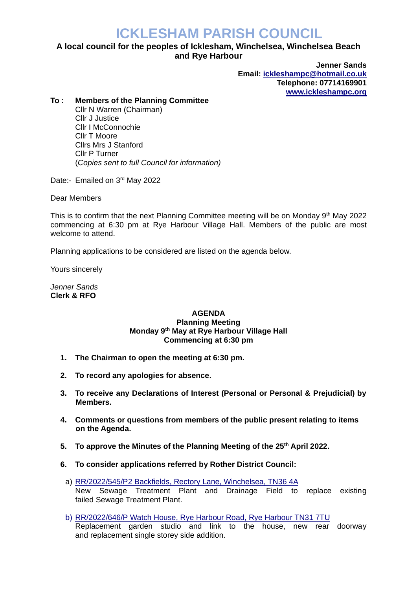## **ICKLESHAM PARISH COUNCIL**

## **A local council for the peoples of Icklesham, Winchelsea, Winchelsea Beach and Rye Harbour**

**Jenner Sands Email: [ickleshampc@hotmail.co.uk](mailto:ickleshampc@hotmail.co.uk) Telephone: 07714169901 [www.ickleshampc.org](http://www.ickleshampc.org/)**

## **To : Members of the Planning Committee**

Cllr N Warren (Chairman) Cllr J Justice Cllr I McConnochie Cllr T Moore Cllrs Mrs J Stanford Cllr P Turner (*Copies sent to full Council for information)*

Date:- Emailed on 3<sup>rd</sup> May 2022

Dear Members

This is to confirm that the next Planning Committee meeting will be on Monday 9<sup>th</sup> May 2022 commencing at 6:30 pm at Rye Harbour Village Hall. Members of the public are most welcome to attend.

Planning applications to be considered are listed on the agenda below.

Yours sincerely

*Jenner Sands* **Clerk & RFO**

## **AGENDA Planning Meeting Monday 9 th May at Rye Harbour Village Hall Commencing at 6:30 pm**

- **1. The Chairman to open the meeting at 6:30 pm.**
- **2. To record any apologies for absence.**
- **3. To receive any Declarations of Interest (Personal or Personal & Prejudicial) by Members.**
- **4. Comments or questions from members of the public present relating to items on the Agenda.**
- **5. To approve the Minutes of the Planning Meeting of the 25th April 2022.**
- **6. To consider applications referred by Rother District Council:**
	- a) [RR/2022/545/P2 Backfields, Rectory Lane, Winchelsea,](http://planweb01.rother.gov.uk/OcellaWeb/planningDetails?reference=RR/2022/545/P) TN36 4A New Sewage Treatment Plant and Drainage Field to replace existing failed Sewage Treatment Plant.
	- b) RR/2022/646/P [Watch House, Rye Harbour Road, Rye Harbour](http://planweb01.rother.gov.uk/OcellaWeb/planningDetails?reference=RR/2022/646/P) TN31 7TU Replacement garden studio and link to the house, new rear doorway and replacement single storey side addition.